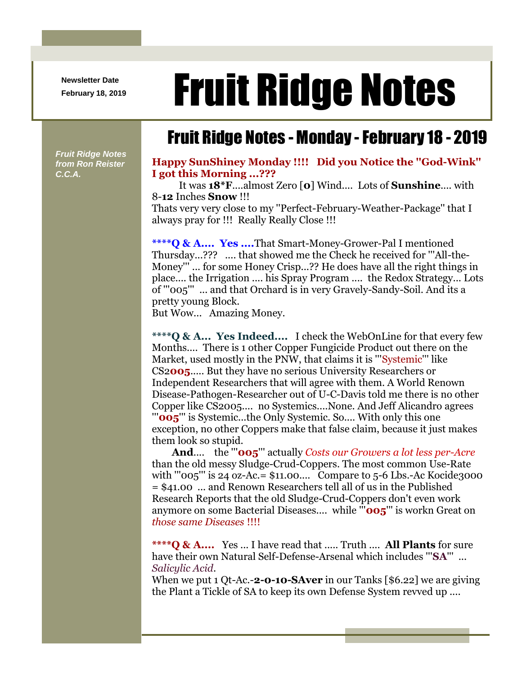**Newsletter Date**

## Newsletter Date **Fruit Ridge Notes**

## Fruit Ridge Notes - Monday -February 18 - 2019

*Fruit Ridge Notes from Ron Reister C.C.A.*

## **Happy SunShiney Monday !!!! Did you Notice the ''God-Wink'' I got this Morning ...???**

It was **18\*F**....almost Zero [**0**] Wind.... Lots of **Sunshine**.... with 8-**12** Inches **Snow** !!!

Thats very very close to my ''Perfect-February-Weather-Package'' that I always pray for !!! Really Really Close !!!

**\*\*\*\*Q & A.... Yes ....**That Smart-Money-Grower-Pal I mentioned Thursday...??? .... that showed me the Check he received for '''All-the-Money''' ... for some Honey Crisp...?? He does have all the right things in place.... the Irrigation .... his Spray Program .... the Redox Strategy... Lots of '''005''' ... and that Orchard is in very Gravely-Sandy-Soil. And its a pretty young Block.

But Wow... Amazing Money.

**\*\*\*\*Q & A... Yes Indeed....** I check the WebOnLine for that every few Months.... There is 1 other Copper Fungicide Product out there on the Market, used mostly in the PNW, that claims it is '''Systemic''' like CS2**005**..... But they have no serious University Researchers or Independent Researchers that will agree with them. A World Renown Disease-Pathogen-Researcher out of U-C-Davis told me there is no other Copper like CS2005.... no Systemics....None. And Jeff Alicandro agrees '''**005**''' is Systemic...the Only Systemic. So.... With only this one exception, no other Coppers make that false claim, because it just makes them look so stupid.

**And**.... the '''**005**''' actually *Costs our Growers a lot less per-Acre* than the old messy Sludge-Crud-Coppers. The most common Use-Rate with "'005'" is 24 oz-Ac.= \$11.00.... Compare to 5-6 Lbs.-Ac Kocide3000 = \$41.00 ... and Renown Researchers tell all of us in the Published Research Reports that the old Sludge-Crud-Coppers don't even work anymore on some Bacterial Diseases.... while '''**005**''' is workn Great on *those same Diseases* !!!!

**\*\*\*\*Q & A....** Yes ... I have read that ..... Truth .... **All Plants** for sure have their own Natural Self-Defense-Arsenal which includes '''**SA**''' ... *Salicylic Acid*.

When we put 1 Qt-Ac.-2-0-10-SAver in our Tanks [\$6.22] we are giving the Plant a Tickle of SA to keep its own Defense System revved up ....